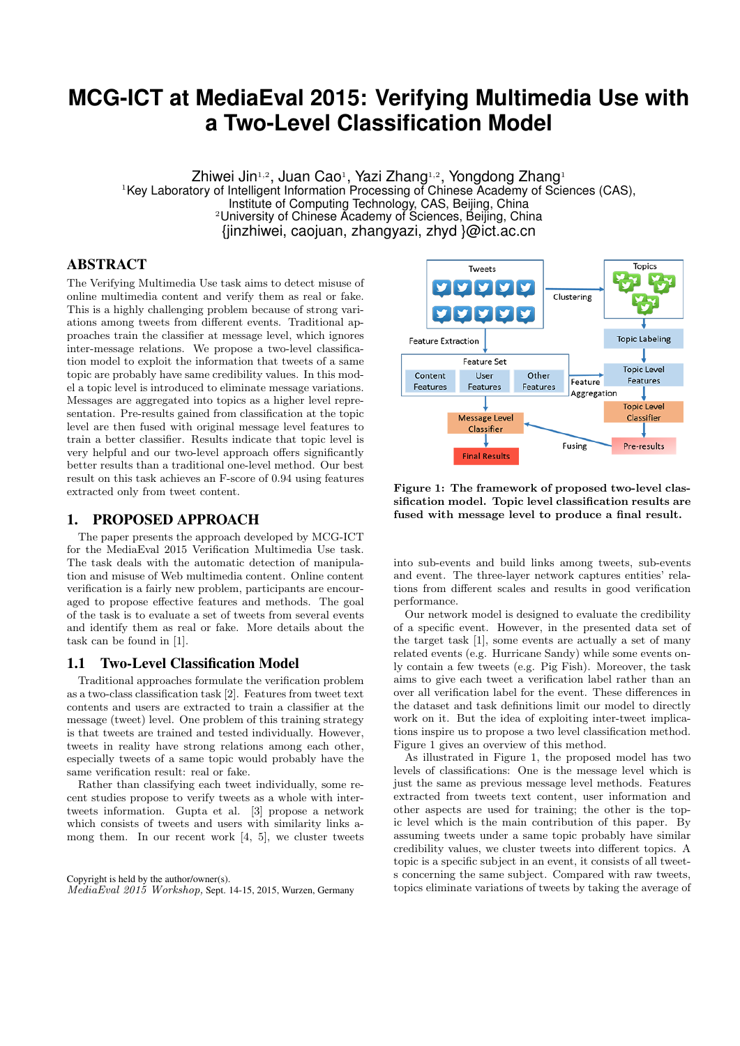# **MCG-ICT at MediaEval 2015: Verifying Multimedia Use with a Two-Level Classification Model**

Zhiwei Jin1,2, Juan Cao1, Yazi Zhang1,2, Yongdong Zhang1 <sup>1</sup>Key Laboratory of Intelligent Information Processing of Chinese Academy of Sciences (CAS), Institute of Computing Technology, CAS, Beijing, China  $2$ University of Chinese Academy of Sciences, Beijing, China {jinzhiwei, caojuan, zhangyazi, zhyd }@ict.ac.cn

# ABSTRACT

The Verifying Multimedia Use task aims to detect misuse of online multimedia content and verify them as real or fake. This is a highly challenging problem because of strong variations among tweets from different events. Traditional approaches train the classifier at message level, which ignores inter-message relations. We propose a two-level classification model to exploit the information that tweets of a same topic are probably have same credibility values. In this model a topic level is introduced to eliminate message variations. Messages are aggregated into topics as a higher level representation. Pre-results gained from classification at the topic level are then fused with original message level features to train a better classifier. Results indicate that topic level is very helpful and our two-level approach offers significantly better results than a traditional one-level method. Our best result on this task achieves an F-score of 0.94 using features extracted only from tweet content.

# 1. PROPOSED APPROACH

The paper presents the approach developed by MCG-ICT for the MediaEval 2015 Verification Multimedia Use task. The task deals with the automatic detection of manipulation and misuse of Web multimedia content. Online content verification is a fairly new problem, participants are encouraged to propose effective features and methods. The goal of the task is to evaluate a set of tweets from several events and identify them as real or fake. More details about the task can be found in [1].

# 1.1 Two-Level Classification Model

Traditional approaches formulate the verification problem as a two-class classification task [2]. Features from tweet text contents and users are extracted to train a classifier at the message (tweet) level. One problem of this training strategy is that tweets are trained and tested individually. However, tweets in reality have strong relations among each other, especially tweets of a same topic would probably have the same verification result: real or fake.

Rather than classifying each tweet individually, some recent studies propose to verify tweets as a whole with intertweets information. Gupta et al. [3] propose a network which consists of tweets and users with similarity links among them. In our recent work  $[4, 5]$ , we cluster tweets





Figure 1: The framework of proposed two-level classification model. Topic level classification results are fused with message level to produce a final result.

into sub-events and build links among tweets, sub-events and event. The three-layer network captures entities' relations from different scales and results in good verification performance.

Our network model is designed to evaluate the credibility of a specific event. However, in the presented data set of the target task [1], some events are actually a set of many related events (e.g. Hurricane Sandy) while some events only contain a few tweets (e.g. Pig Fish). Moreover, the task aims to give each tweet a verification label rather than an over all verification label for the event. These differences in the dataset and task definitions limit our model to directly work on it. But the idea of exploiting inter-tweet implications inspire us to propose a two level classification method. Figure 1 gives an overview of this method.

As illustrated in Figure 1, the proposed model has two levels of classifications: One is the message level which is just the same as previous message level methods. Features extracted from tweets text content, user information and other aspects are used for training; the other is the topic level which is the main contribution of this paper. By assuming tweets under a same topic probably have similar credibility values, we cluster tweets into different topics. A topic is a specific subject in an event, it consists of all tweets concerning the same subject. Compared with raw tweets, topics eliminate variations of tweets by taking the average of